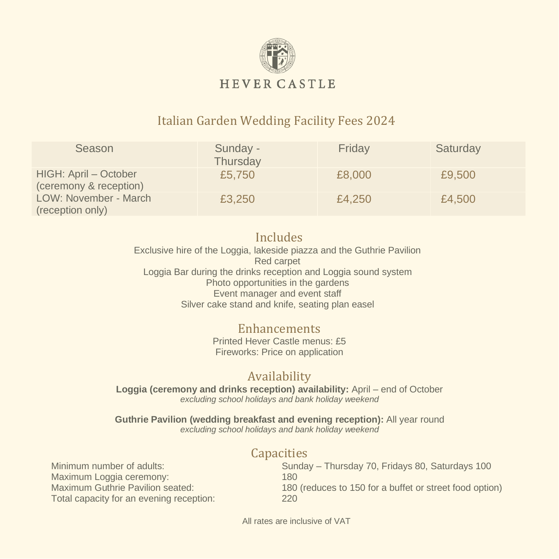

## Italian Garden Wedding Facility Fees 2024

| Season                                          | Sunday -<br>Thursday | Friday | Saturday |
|-------------------------------------------------|----------------------|--------|----------|
| HIGH: April - October<br>(ceremony & reception) | £5,750               | £8,000 | £9,500   |
| LOW: November - March<br>(reception only)       | £3,250               | £4,250 | £4,500   |

#### Includes

Exclusive hire of the Loggia, lakeside piazza and the Guthrie Pavilion Red carpet Loggia Bar during the drinks reception and Loggia sound system Photo opportunities in the gardens Event manager and event staff Silver cake stand and knife, seating plan easel

#### Enhancements

Printed Hever Castle menus: £5 Fireworks: Price on application

### Availability

**Loggia (ceremony and drinks reception) availability:** April – end of October *excluding school holidays and bank holiday weekend*

**Guthrie Pavilion (wedding breakfast and evening reception):** All year round *excluding school holidays and bank holiday weekend*

#### **Capacities**

Maximum Loggia ceremony: 180 Total capacity for an evening reception: 220

Minimum number of adults: Sunday – Thursday 70, Fridays 80, Saturdays 100 Maximum Guthrie Pavilion seated: 180 (reduces to 150 for a buffet or street food option)

All rates are inclusive of VAT